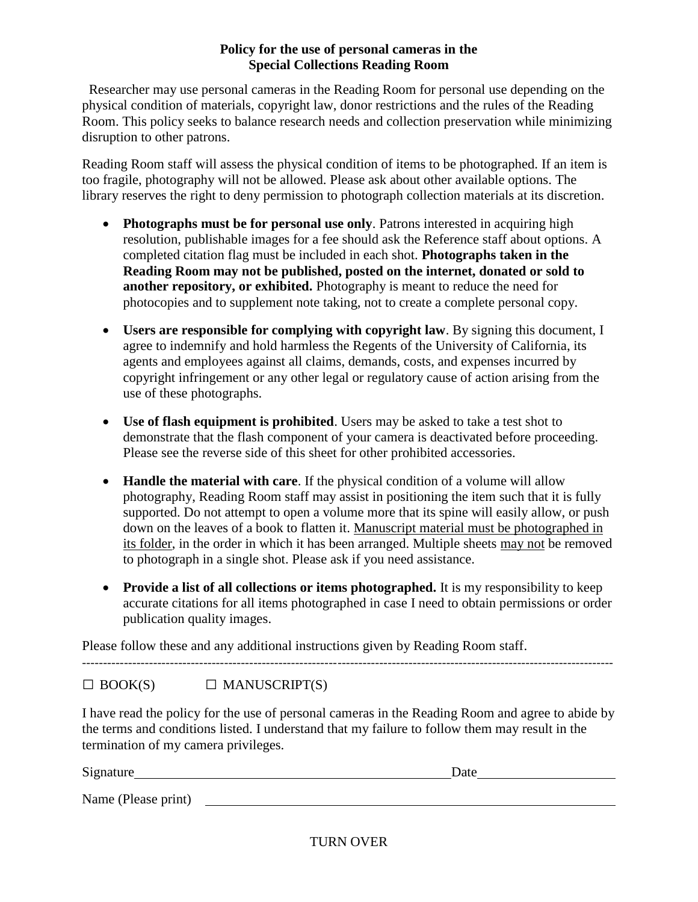# **Policy for the use of personal cameras in the Special Collections Reading Room**

 Researcher may use personal cameras in the Reading Room for personal use depending on the physical condition of materials, copyright law, donor restrictions and the rules of the Reading Room. This policy seeks to balance research needs and collection preservation while minimizing disruption to other patrons.

Reading Room staff will assess the physical condition of items to be photographed. If an item is too fragile, photography will not be allowed. Please ask about other available options. The library reserves the right to deny permission to photograph collection materials at its discretion.

- **Photographs must be for personal use only**. Patrons interested in acquiring high resolution, publishable images for a fee should ask the Reference staff about options. A completed citation flag must be included in each shot. **Photographs taken in the Reading Room may not be published, posted on the internet, donated or sold to another repository, or exhibited.** Photography is meant to reduce the need for photocopies and to supplement note taking, not to create a complete personal copy.
- **Users are responsible for complying with copyright law**. By signing this document, I agree to indemnify and hold harmless the Regents of the University of California, its agents and employees against all claims, demands, costs, and expenses incurred by copyright infringement or any other legal or regulatory cause of action arising from the use of these photographs.
- **Use of flash equipment is prohibited**. Users may be asked to take a test shot to demonstrate that the flash component of your camera is deactivated before proceeding. Please see the reverse side of this sheet for other prohibited accessories.
- **Handle the material with care**. If the physical condition of a volume will allow photography, Reading Room staff may assist in positioning the item such that it is fully supported. Do not attempt to open a volume more that its spine will easily allow, or push down on the leaves of a book to flatten it. Manuscript material must be photographed in its folder, in the order in which it has been arranged. Multiple sheets may not be removed to photograph in a single shot. Please ask if you need assistance.
- **Provide a list of all collections or items photographed.** It is my responsibility to keep accurate citations for all items photographed in case I need to obtain permissions or order publication quality images.

Please follow these and any additional instructions given by Reading Room staff.

-------------------------------------------------------------------------------------------------------------------------------

 $\Box$  BOOK(S)  $\Box$  MANUSCRIPT(S)

I have read the policy for the use of personal cameras in the Reading Room and agree to abide by the terms and conditions listed. I understand that my failure to follow them may result in the termination of my camera privileges.

| Signature           | Date |
|---------------------|------|
| Name (Please print) |      |

TURN OVER